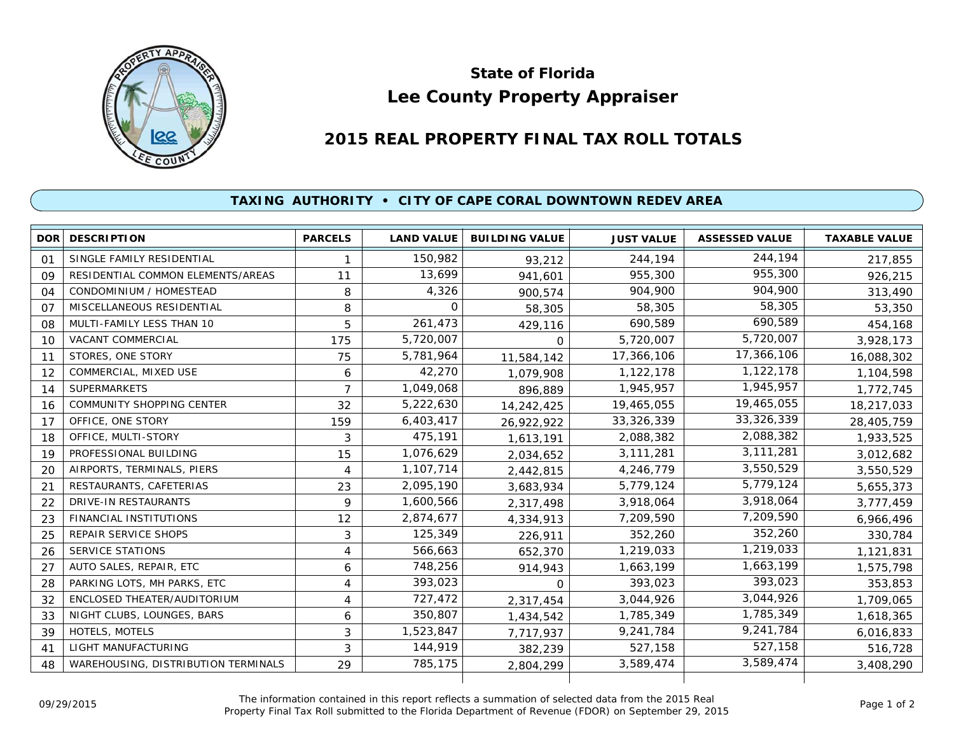

## **Lee County Property Appraiser State of Florida**

## **2015 REAL PROPERTY FINAL TAX ROLL TOTALS**

## **TAXING AUTHORITY • CITY OF CAPE CORAL DOWNTOWN REDEV AREA**

| <b>DOR</b> | <b>DESCRIPTION</b>                  | <b>PARCELS</b> | <b>LAND VALUE</b> | <b>BUILDING VALUE</b> | <b>JUST VALUE</b> | <b>ASSESSED VALUE</b> | <b>TAXABLE VALUE</b> |
|------------|-------------------------------------|----------------|-------------------|-----------------------|-------------------|-----------------------|----------------------|
| 01         | SINGLE FAMILY RESIDENTIAL           |                | 150,982           | 93,212                | 244,194           | 244,194               | 217,855              |
| 09         | RESIDENTIAL COMMON ELEMENTS/AREAS   | 11             | 13,699            | 941,601               | 955,300           | 955,300               | 926,215              |
| 04         | CONDOMINIUM / HOMESTEAD             | 8              | 4,326             | 900,574               | 904,900           | 904,900               | 313,490              |
| 07         | MISCELLANEOUS RESIDENTIAL           | 8              | $\Omega$          | 58,305                | 58,305            | 58,305                | 53,350               |
| 08         | MULTI-FAMILY LESS THAN 10           | 5              | 261,473           | 429,116               | 690,589           | 690,589               | 454,168              |
| 10         | <b>VACANT COMMERCIAL</b>            | 175            | 5,720,007         | $\Omega$              | 5,720,007         | 5,720,007             | 3,928,173            |
| 11         | STORES, ONE STORY                   | 75             | 5,781,964         | 11,584,142            | 17,366,106        | 17,366,106            | 16,088,302           |
| 12         | COMMERCIAL, MIXED USE               | 6              | 42,270            | 1,079,908             | 1,122,178         | 1,122,178             | 1,104,598            |
| 14         | <b>SUPERMARKETS</b>                 | $\overline{7}$ | 1,049,068         | 896,889               | 1,945,957         | 1,945,957             | 1,772,745            |
| 16         | COMMUNITY SHOPPING CENTER           | 32             | 5,222,630         | 14,242,425            | 19,465,055        | 19,465,055            | 18,217,033           |
| 17         | OFFICE, ONE STORY                   | 159            | 6,403,417         | 26,922,922            | 33,326,339        | 33, 326, 339          | 28,405,759           |
| 18         | OFFICE, MULTI-STORY                 | 3              | 475,191           | 1,613,191             | 2,088,382         | 2,088,382             | 1,933,525            |
| 19         | PROFESSIONAL BUILDING               | 15             | 1,076,629         | 2,034,652             | 3,111,281         | 3,111,281             | 3,012,682            |
| 20         | AIRPORTS, TERMINALS, PIERS          | 4              | 1,107,714         | 2,442,815             | 4,246,779         | 3,550,529             | 3,550,529            |
| 21         | RESTAURANTS, CAFETERIAS             | 23             | 2,095,190         | 3,683,934             | 5,779,124         | 5,779,124             | 5,655,373            |
| 22         | DRIVE-IN RESTAURANTS                | 9              | 1,600,566         | 2,317,498             | 3,918,064         | 3,918,064             | 3,777,459            |
| 23         | <b>FINANCIAL INSTITUTIONS</b>       | 12             | 2,874,677         | 4,334,913             | 7,209,590         | 7,209,590             | 6,966,496            |
| 25         | <b>REPAIR SERVICE SHOPS</b>         | 3              | 125,349           | 226,911               | 352,260           | 352,260               | 330,784              |
| 26         | <b>SERVICE STATIONS</b>             | 4              | 566,663           | 652,370               | 1,219,033         | 1,219,033             | 1,121,831            |
| 27         | AUTO SALES, REPAIR, ETC             | 6              | 748,256           | 914,943               | 1,663,199         | 1,663,199             | 1,575,798            |
| 28         | PARKING LOTS, MH PARKS, ETC         | 4              | 393,023           | $\Omega$              | 393,023           | 393,023               | 353,853              |
| 32         | ENCLOSED THEATER/AUDITORIUM         | 4              | 727,472           | 2,317,454             | 3,044,926         | 3,044,926             | 1,709,065            |
| 33         | NIGHT CLUBS, LOUNGES, BARS          | 6              | 350,807           | 1,434,542             | 1,785,349         | 1,785,349             | 1,618,365            |
| 39         | HOTELS, MOTELS                      | 3              | 1,523,847         | 7,717,937             | 9,241,784         | 9,241,784             | 6,016,833            |
| 41         | LIGHT MANUFACTURING                 | 3              | 144,919           | 382,239               | 527,158           | 527,158               | 516,728              |
| 48         | WAREHOUSING, DISTRIBUTION TERMINALS | 29             | 785,175           | 2,804,299             | 3,589,474         | 3,589,474             | 3,408,290            |
|            |                                     |                |                   |                       |                   |                       |                      |

The information contained in this report reflects a summation of selected data from the 2015 Real Ine information contained in this report reflects a summation of selected data from the 2015 Real<br>Property Final Tax Roll submitted to the Florida Department of Revenue (FDOR) on September 29, 2015